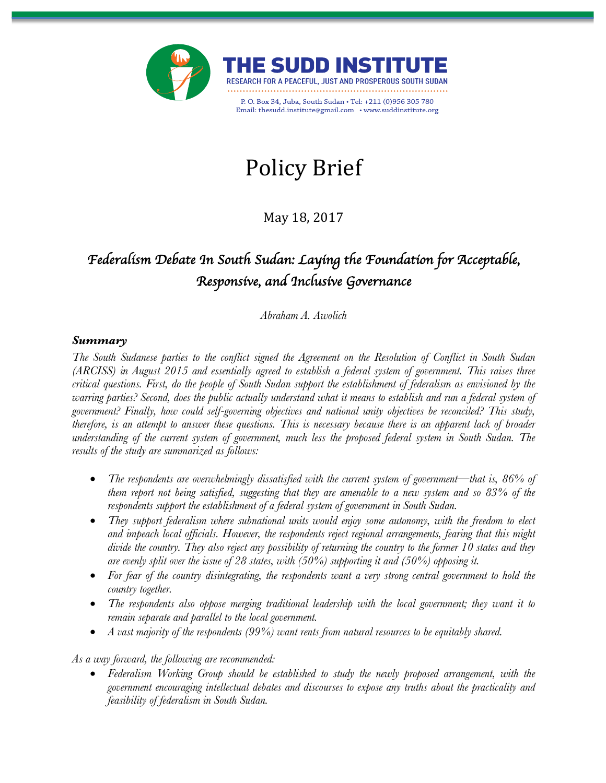



P. O. Box 34, Juba, South Sudan . Tel: +211 (0)956 305 780 Email: thesudd.institute@gmail.com • www.suddinstitute.org

# Policy Brief

May 18, 2017

# *Federalism Debate In South Sudan: Laying the Foundation for Acceptable, Responsive, and Inclusive Governance*

*Abraham A. Awolich*

# *Summary*

*The South Sudanese parties to the conflict signed the Agreement on the Resolution of Conflict in South Sudan (ARCISS) in August 2015 and essentially agreed to establish a federal system of government. This raises three critical questions. First, do the people of South Sudan support the establishment of federalism as envisioned by the warring parties? Second, does the public actually understand what it means to establish and run a federal system of government? Finally, how could self-governing objectives and national unity objectives be reconciled? This study, therefore, is an attempt to answer these questions. This is necessary because there is an apparent lack of broader understanding of the current system of government, much less the proposed federal system in South Sudan. The results of the study are summarized as follows:* 

- *The respondents are overwhelmingly dissatisfied with the current system of government—that is, 86% of them report not being satisfied, suggesting that they are amenable to a new system and so 83% of the respondents support the establishment of a federal system of government in South Sudan.*
- *They support federalism where subnational units would enjoy some autonomy, with the freedom to elect and impeach local officials. However, the respondents reject regional arrangements, fearing that this might divide the country. They also reject any possibility of returning the country to the former 10 states and they are evenly split over the issue of 28 states, with (50%) supporting it and (50%) opposing it.*
- *For fear of the country disintegrating, the respondents want a very strong central government to hold the country together.*
- *The respondents also oppose merging traditional leadership with the local government; they want it to remain separate and parallel to the local government.*
- *A vast majority of the respondents (99%) want rents from natural resources to be equitably shared.*

# *As a way forward, the following are recommended:*

• *Federalism Working Group should be established to study the newly proposed arrangement, with the government encouraging intellectual debates and discourses to expose any truths about the practicality and feasibility of federalism in South Sudan.*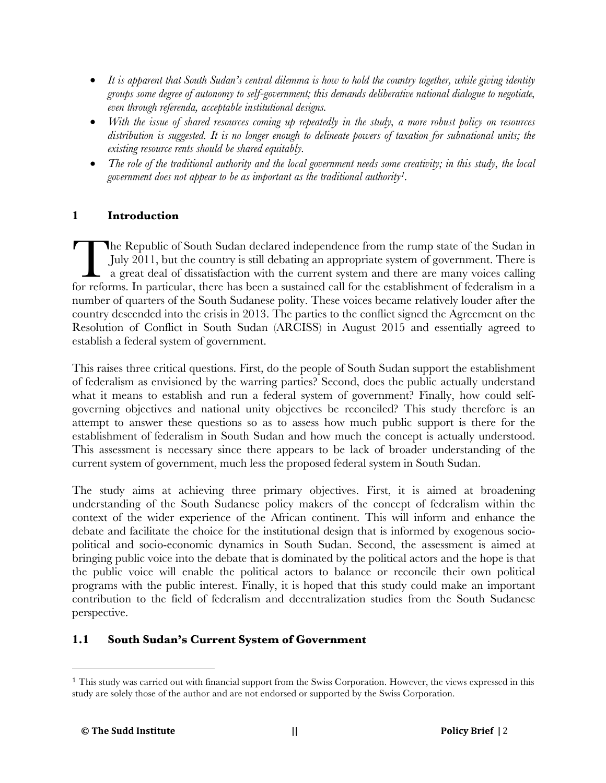- *It is apparent that South Sudan's central dilemma is how to hold the country together, while giving identity groups some degree of autonomy to self-government; this demands deliberative national dialogue to negotiate, even through referenda, acceptable institutional designs.*
- *With the issue of shared resources coming up repeatedly in the study, a more robust policy on resources distribution is suggested. It is no longer enough to delineate powers of taxation for subnational units; the existing resource rents should be shared equitably.*
- *The role of the traditional authority and the local government needs some creativity; in this study, the local government does not appear to be as important as the traditional authority1.*

#### **1 Introduction**

he Republic of South Sudan declared independence from the rump state of the Sudan in July 2011, but the country is still debating an appropriate system of government. There is  $\Box$  a great deal of dissatisfaction with the current system and there are many voices calling The Republic of South Sudan declared independence from the rump state of the Sudan in July 2011, but the country is still debating an appropriate system of government. There is a great deal of dissatisfaction with the curr number of quarters of the South Sudanese polity. These voices became relatively louder after the country descended into the crisis in 2013. The parties to the conflict signed the Agreement on the Resolution of Conflict in South Sudan (ARCISS) in August 2015 and essentially agreed to establish a federal system of government.

This raises three critical questions. First, do the people of South Sudan support the establishment of federalism as envisioned by the warring parties? Second, does the public actually understand what it means to establish and run a federal system of government? Finally, how could selfgoverning objectives and national unity objectives be reconciled? This study therefore is an attempt to answer these questions so as to assess how much public support is there for the establishment of federalism in South Sudan and how much the concept is actually understood. This assessment is necessary since there appears to be lack of broader understanding of the current system of government, much less the proposed federal system in South Sudan.

The study aims at achieving three primary objectives. First, it is aimed at broadening understanding of the South Sudanese policy makers of the concept of federalism within the context of the wider experience of the African continent. This will inform and enhance the debate and facilitate the choice for the institutional design that is informed by exogenous sociopolitical and socio-economic dynamics in South Sudan. Second, the assessment is aimed at bringing public voice into the debate that is dominated by the political actors and the hope is that the public voice will enable the political actors to balance or reconcile their own political programs with the public interest. Finally, it is hoped that this study could make an important contribution to the field of federalism and decentralization studies from the South Sudanese perspective.

#### **1.1 South Sudan's Current System of Government**

 

<sup>1</sup> This study was carried out with financial support from the Swiss Corporation. However, the views expressed in this study are solely those of the author and are not endorsed or supported by the Swiss Corporation.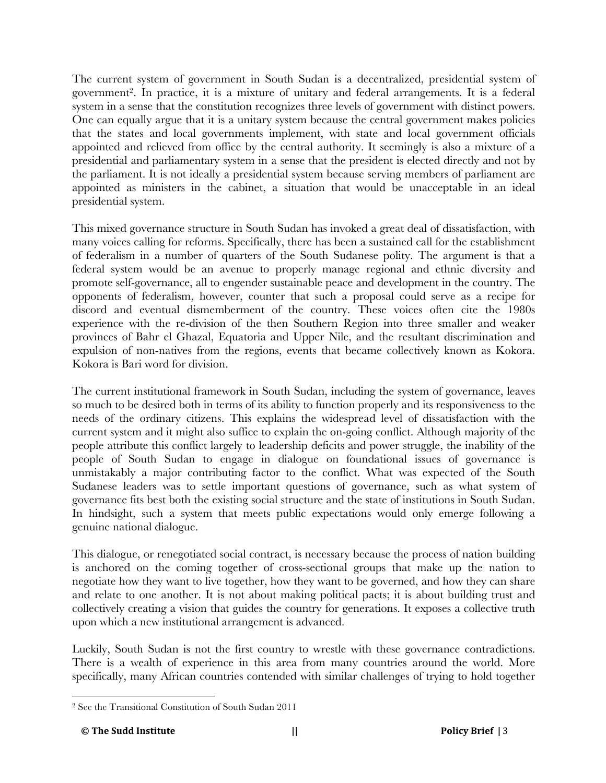The current system of government in South Sudan is a decentralized, presidential system of government2. In practice, it is a mixture of unitary and federal arrangements. It is a federal system in a sense that the constitution recognizes three levels of government with distinct powers. One can equally argue that it is a unitary system because the central government makes policies that the states and local governments implement, with state and local government officials appointed and relieved from office by the central authority. It seemingly is also a mixture of a presidential and parliamentary system in a sense that the president is elected directly and not by the parliament. It is not ideally a presidential system because serving members of parliament are appointed as ministers in the cabinet, a situation that would be unacceptable in an ideal presidential system.

This mixed governance structure in South Sudan has invoked a great deal of dissatisfaction, with many voices calling for reforms. Specifically, there has been a sustained call for the establishment of federalism in a number of quarters of the South Sudanese polity. The argument is that a federal system would be an avenue to properly manage regional and ethnic diversity and promote self-governance, all to engender sustainable peace and development in the country. The opponents of federalism, however, counter that such a proposal could serve as a recipe for discord and eventual dismemberment of the country. These voices often cite the 1980s experience with the re-division of the then Southern Region into three smaller and weaker provinces of Bahr el Ghazal, Equatoria and Upper Nile, and the resultant discrimination and expulsion of non-natives from the regions, events that became collectively known as Kokora. Kokora is Bari word for division.

The current institutional framework in South Sudan, including the system of governance, leaves so much to be desired both in terms of its ability to function properly and its responsiveness to the needs of the ordinary citizens. This explains the widespread level of dissatisfaction with the current system and it might also suffice to explain the on-going conflict. Although majority of the people attribute this conflict largely to leadership deficits and power struggle, the inability of the people of South Sudan to engage in dialogue on foundational issues of governance is unmistakably a major contributing factor to the conflict. What was expected of the South Sudanese leaders was to settle important questions of governance, such as what system of governance fits best both the existing social structure and the state of institutions in South Sudan. In hindsight, such a system that meets public expectations would only emerge following a genuine national dialogue.

This dialogue, or renegotiated social contract, is necessary because the process of nation building is anchored on the coming together of cross-sectional groups that make up the nation to negotiate how they want to live together, how they want to be governed, and how they can share and relate to one another. It is not about making political pacts; it is about building trust and collectively creating a vision that guides the country for generations. It exposes a collective truth upon which a new institutional arrangement is advanced.

Luckily, South Sudan is not the first country to wrestle with these governance contradictions. There is a wealth of experience in this area from many countries around the world. More specifically, many African countries contended with similar challenges of trying to hold together

 

<sup>2</sup> See the Transitional Constitution of South Sudan 2011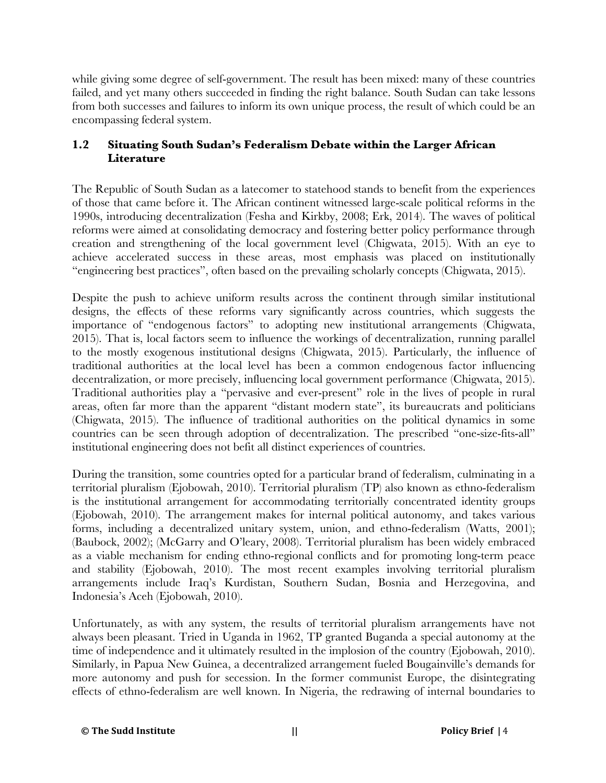while giving some degree of self-government. The result has been mixed: many of these countries failed, and yet many others succeeded in finding the right balance. South Sudan can take lessons from both successes and failures to inform its own unique process, the result of which could be an encompassing federal system.

#### **1.2 Situating South Sudan's Federalism Debate within the Larger African Literature**

The Republic of South Sudan as a latecomer to statehood stands to benefit from the experiences of those that came before it. The African continent witnessed large-scale political reforms in the 1990s, introducing decentralization (Fesha and Kirkby, 2008; Erk, 2014). The waves of political reforms were aimed at consolidating democracy and fostering better policy performance through creation and strengthening of the local government level (Chigwata, 2015). With an eye to achieve accelerated success in these areas, most emphasis was placed on institutionally "engineering best practices", often based on the prevailing scholarly concepts (Chigwata, 2015).

Despite the push to achieve uniform results across the continent through similar institutional designs, the effects of these reforms vary significantly across countries, which suggests the importance of "endogenous factors" to adopting new institutional arrangements (Chigwata, 2015). That is, local factors seem to influence the workings of decentralization, running parallel to the mostly exogenous institutional designs (Chigwata, 2015). Particularly, the influence of traditional authorities at the local level has been a common endogenous factor influencing decentralization, or more precisely, influencing local government performance (Chigwata, 2015). Traditional authorities play a "pervasive and ever-present" role in the lives of people in rural areas, often far more than the apparent "distant modern state", its bureaucrats and politicians (Chigwata, 2015). The influence of traditional authorities on the political dynamics in some countries can be seen through adoption of decentralization. The prescribed "one-size-fits-all" institutional engineering does not befit all distinct experiences of countries.

During the transition, some countries opted for a particular brand of federalism, culminating in a territorial pluralism (Ejobowah, 2010). Territorial pluralism (TP) also known as ethno-federalism is the institutional arrangement for accommodating territorially concentrated identity groups (Ejobowah, 2010). The arrangement makes for internal political autonomy, and takes various forms, including a decentralized unitary system, union, and ethno-federalism (Watts, 2001); (Baubock, 2002); (McGarry and O'leary, 2008). Territorial pluralism has been widely embraced as a viable mechanism for ending ethno-regional conflicts and for promoting long-term peace and stability (Ejobowah, 2010). The most recent examples involving territorial pluralism arrangements include Iraq's Kurdistan, Southern Sudan, Bosnia and Herzegovina, and Indonesia's Aceh (Ejobowah, 2010).

Unfortunately, as with any system, the results of territorial pluralism arrangements have not always been pleasant. Tried in Uganda in 1962, TP granted Buganda a special autonomy at the time of independence and it ultimately resulted in the implosion of the country (Ejobowah, 2010). Similarly, in Papua New Guinea, a decentralized arrangement fueled Bougainville's demands for more autonomy and push for secession. In the former communist Europe, the disintegrating effects of ethno-federalism are well known. In Nigeria, the redrawing of internal boundaries to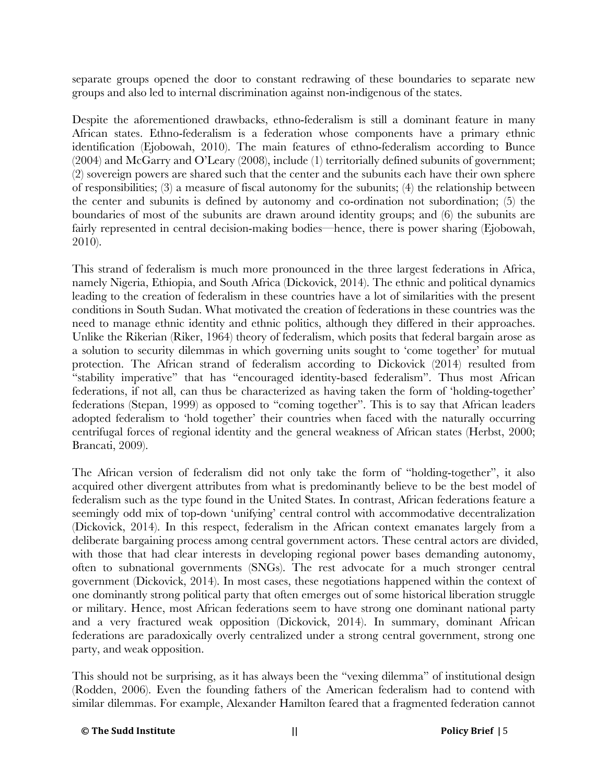separate groups opened the door to constant redrawing of these boundaries to separate new groups and also led to internal discrimination against non-indigenous of the states.

Despite the aforementioned drawbacks, ethno-federalism is still a dominant feature in many African states. Ethno-federalism is a federation whose components have a primary ethnic identification (Ejobowah, 2010). The main features of ethno-federalism according to Bunce (2004) and McGarry and O'Leary (2008), include (1) territorially defined subunits of government; (2) sovereign powers are shared such that the center and the subunits each have their own sphere of responsibilities; (3) a measure of fiscal autonomy for the subunits; (4) the relationship between the center and subunits is defined by autonomy and co-ordination not subordination; (5) the boundaries of most of the subunits are drawn around identity groups; and (6) the subunits are fairly represented in central decision-making bodies—hence, there is power sharing (Ejobowah, 2010).

This strand of federalism is much more pronounced in the three largest federations in Africa, namely Nigeria, Ethiopia, and South Africa (Dickovick, 2014). The ethnic and political dynamics leading to the creation of federalism in these countries have a lot of similarities with the present conditions in South Sudan. What motivated the creation of federations in these countries was the need to manage ethnic identity and ethnic politics, although they differed in their approaches. Unlike the Rikerian (Riker, 1964) theory of federalism, which posits that federal bargain arose as a solution to security dilemmas in which governing units sought to 'come together' for mutual protection. The African strand of federalism according to Dickovick (2014) resulted from "stability imperative" that has "encouraged identity-based federalism". Thus most African federations, if not all, can thus be characterized as having taken the form of 'holding-together' federations (Stepan, 1999) as opposed to "coming together". This is to say that African leaders adopted federalism to 'hold together' their countries when faced with the naturally occurring centrifugal forces of regional identity and the general weakness of African states (Herbst, 2000; Brancati, 2009).

The African version of federalism did not only take the form of "holding-together", it also acquired other divergent attributes from what is predominantly believe to be the best model of federalism such as the type found in the United States. In contrast, African federations feature a seemingly odd mix of top-down 'unifying' central control with accommodative decentralization (Dickovick, 2014). In this respect, federalism in the African context emanates largely from a deliberate bargaining process among central government actors. These central actors are divided, with those that had clear interests in developing regional power bases demanding autonomy, often to subnational governments (SNGs). The rest advocate for a much stronger central government (Dickovick, 2014). In most cases, these negotiations happened within the context of one dominantly strong political party that often emerges out of some historical liberation struggle or military. Hence, most African federations seem to have strong one dominant national party and a very fractured weak opposition (Dickovick, 2014). In summary, dominant African federations are paradoxically overly centralized under a strong central government, strong one party, and weak opposition.

This should not be surprising, as it has always been the "vexing dilemma" of institutional design (Rodden, 2006). Even the founding fathers of the American federalism had to contend with similar dilemmas. For example, Alexander Hamilton feared that a fragmented federation cannot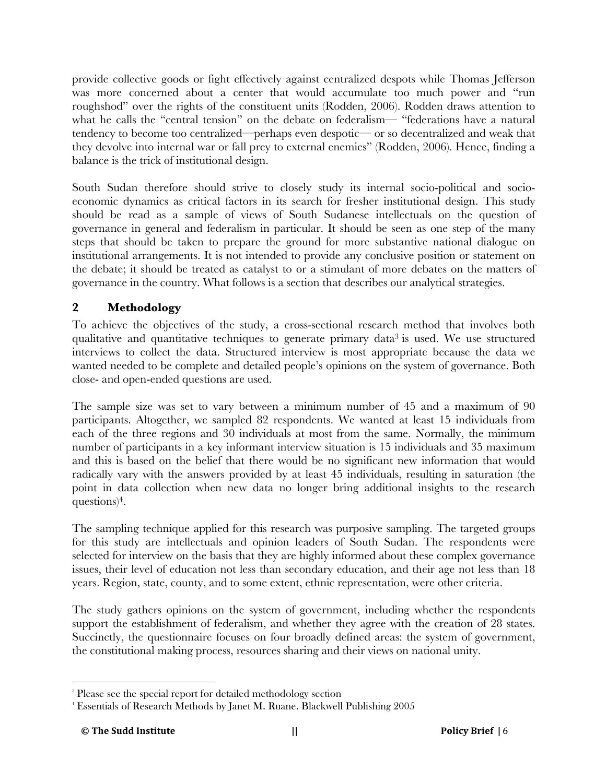provide collective goods or fight effectively against centralized despots while Thomas Jefferson was more concerned about a center that would accumulate too much power and "run roughshod" over the rights of the constituent units (Rodden, 2006). Rodden draws attention to what he calls the "central tension" on the debate on federalism— "federations have a natural tendency to become too centralized—perhaps even despotic— or so decentralized and weak that they devolve into internal war or fall prey to external enemies" (Rodden, 2006). Hence, finding a balance is the trick of institutional design.

South Sudan therefore should strive to closely study its internal socio-political and socioeconomic dynamics as critical factors in its search for fresher institutional design. This study should be read as a sample of views of South Sudanese intellectuals on the question of governance in general and federalism in particular. It should be seen as one step of the many steps that should be taken to prepare the ground for more substantive national dialogue on institutional arrangements. It is not intended to provide any conclusive position or statement on the debate; it should be treated as catalyst to or a stimulant of more debates on the matters of governance in the country. What follows is a section that describes our analytical strategies.

## **2 Methodology**

To achieve the objectives of the study, a cross-sectional research method that involves both qualitative and quantitative techniques to generate primary data<sup>3</sup> is used. We use structured interviews to collect the data. Structured interview is most appropriate because the data we wanted needed to be complete and detailed people's opinions on the system of governance. Both close- and open-ended questions are used.

The sample size was set to vary between a minimum number of 45 and a maximum of 90 participants. Altogether, we sampled 82 respondents. We wanted at least 15 individuals from each of the three regions and 30 individuals at most from the same. Normally, the minimum number of participants in a key informant interview situation is 15 individuals and 35 maximum and this is based on the belief that there would be no significant new information that would radically vary with the answers provided by at least 45 individuals, resulting in saturation (the point in data collection when new data no longer bring additional insights to the research questions)4.

The sampling technique applied for this research was purposive sampling. The targeted groups for this study are intellectuals and opinion leaders of South Sudan. The respondents were selected for interview on the basis that they are highly informed about these complex governance issues, their level of education not less than secondary education, and their age not less than 18 years. Region, state, county, and to some extent, ethnic representation, were other criteria.

The study gathers opinions on the system of government, including whether the respondents support the establishment of federalism, and whether they agree with the creation of 28 states. Succinctly, the questionnaire focuses on four broadly defined areas: the system of government, the constitutional making process, resources sharing and their views on national unity.

 

<sup>3</sup> Please see the special report for detailed methodology section

<sup>4</sup> Essentials of Research Methods by Janet M. Ruane. Blackwell Publishing 2005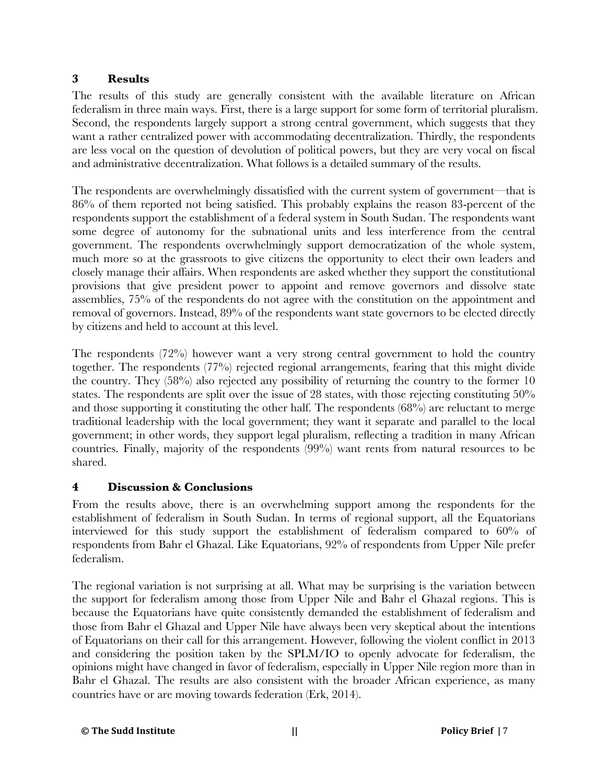## **3 Results**

The results of this study are generally consistent with the available literature on African federalism in three main ways. First, there is a large support for some form of territorial pluralism. Second, the respondents largely support a strong central government, which suggests that they want a rather centralized power with accommodating decentralization. Thirdly, the respondents are less vocal on the question of devolution of political powers, but they are very vocal on fiscal and administrative decentralization. What follows is a detailed summary of the results.

The respondents are overwhelmingly dissatisfied with the current system of government—that is 86% of them reported not being satisfied. This probably explains the reason 83-percent of the respondents support the establishment of a federal system in South Sudan. The respondents want some degree of autonomy for the subnational units and less interference from the central government. The respondents overwhelmingly support democratization of the whole system, much more so at the grassroots to give citizens the opportunity to elect their own leaders and closely manage their affairs. When respondents are asked whether they support the constitutional provisions that give president power to appoint and remove governors and dissolve state assemblies, 75% of the respondents do not agree with the constitution on the appointment and removal of governors. Instead, 89% of the respondents want state governors to be elected directly by citizens and held to account at this level.

The respondents (72%) however want a very strong central government to hold the country together. The respondents (77%) rejected regional arrangements, fearing that this might divide the country. They (58%) also rejected any possibility of returning the country to the former 10 states. The respondents are split over the issue of 28 states, with those rejecting constituting  $50\%$ and those supporting it constituting the other half. The respondents (68%) are reluctant to merge traditional leadership with the local government; they want it separate and parallel to the local government; in other words, they support legal pluralism, reflecting a tradition in many African countries. Finally, majority of the respondents (99%) want rents from natural resources to be shared.

#### **4 Discussion & Conclusions**

From the results above, there is an overwhelming support among the respondents for the establishment of federalism in South Sudan. In terms of regional support, all the Equatorians interviewed for this study support the establishment of federalism compared to 60% of respondents from Bahr el Ghazal. Like Equatorians, 92% of respondents from Upper Nile prefer federalism.

The regional variation is not surprising at all. What may be surprising is the variation between the support for federalism among those from Upper Nile and Bahr el Ghazal regions. This is because the Equatorians have quite consistently demanded the establishment of federalism and those from Bahr el Ghazal and Upper Nile have always been very skeptical about the intentions of Equatorians on their call for this arrangement. However, following the violent conflict in 2013 and considering the position taken by the SPLM/IO to openly advocate for federalism, the opinions might have changed in favor of federalism, especially in Upper Nile region more than in Bahr el Ghazal. The results are also consistent with the broader African experience, as many countries have or are moving towards federation (Erk, 2014).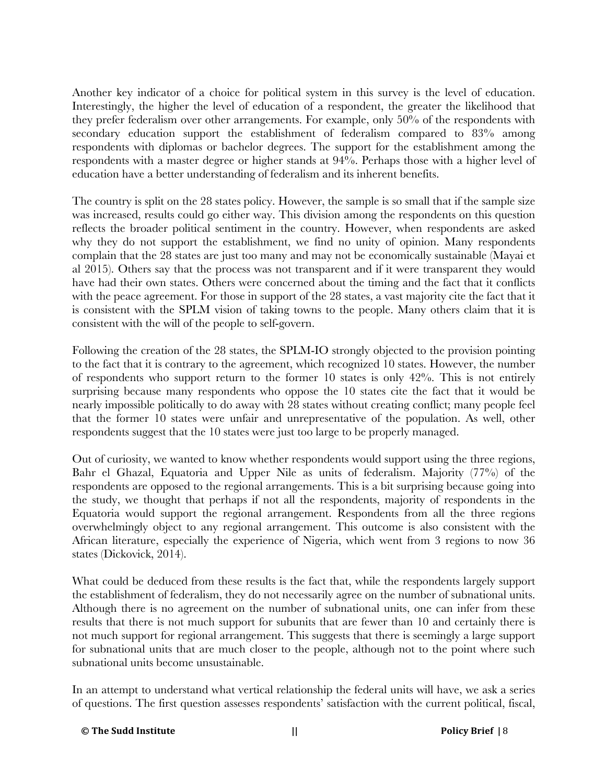Another key indicator of a choice for political system in this survey is the level of education. Interestingly, the higher the level of education of a respondent, the greater the likelihood that they prefer federalism over other arrangements. For example, only 50% of the respondents with secondary education support the establishment of federalism compared to 83% among respondents with diplomas or bachelor degrees. The support for the establishment among the respondents with a master degree or higher stands at 94%. Perhaps those with a higher level of education have a better understanding of federalism and its inherent benefits.

The country is split on the 28 states policy. However, the sample is so small that if the sample size was increased, results could go either way. This division among the respondents on this question reflects the broader political sentiment in the country. However, when respondents are asked why they do not support the establishment, we find no unity of opinion. Many respondents complain that the 28 states are just too many and may not be economically sustainable (Mayai et al 2015). Others say that the process was not transparent and if it were transparent they would have had their own states. Others were concerned about the timing and the fact that it conflicts with the peace agreement. For those in support of the 28 states, a vast majority cite the fact that it is consistent with the SPLM vision of taking towns to the people. Many others claim that it is consistent with the will of the people to self-govern.

Following the creation of the 28 states, the SPLM-IO strongly objected to the provision pointing to the fact that it is contrary to the agreement, which recognized 10 states. However, the number of respondents who support return to the former 10 states is only 42%. This is not entirely surprising because many respondents who oppose the 10 states cite the fact that it would be nearly impossible politically to do away with 28 states without creating conflict; many people feel that the former 10 states were unfair and unrepresentative of the population. As well, other respondents suggest that the 10 states were just too large to be properly managed.

Out of curiosity, we wanted to know whether respondents would support using the three regions, Bahr el Ghazal, Equatoria and Upper Nile as units of federalism. Majority (77%) of the respondents are opposed to the regional arrangements. This is a bit surprising because going into the study, we thought that perhaps if not all the respondents, majority of respondents in the Equatoria would support the regional arrangement. Respondents from all the three regions overwhelmingly object to any regional arrangement. This outcome is also consistent with the African literature, especially the experience of Nigeria, which went from 3 regions to now 36 states (Dickovick, 2014).

What could be deduced from these results is the fact that, while the respondents largely support the establishment of federalism, they do not necessarily agree on the number of subnational units. Although there is no agreement on the number of subnational units, one can infer from these results that there is not much support for subunits that are fewer than 10 and certainly there is not much support for regional arrangement. This suggests that there is seemingly a large support for subnational units that are much closer to the people, although not to the point where such subnational units become unsustainable.

In an attempt to understand what vertical relationship the federal units will have, we ask a series of questions. The first question assesses respondents' satisfaction with the current political, fiscal,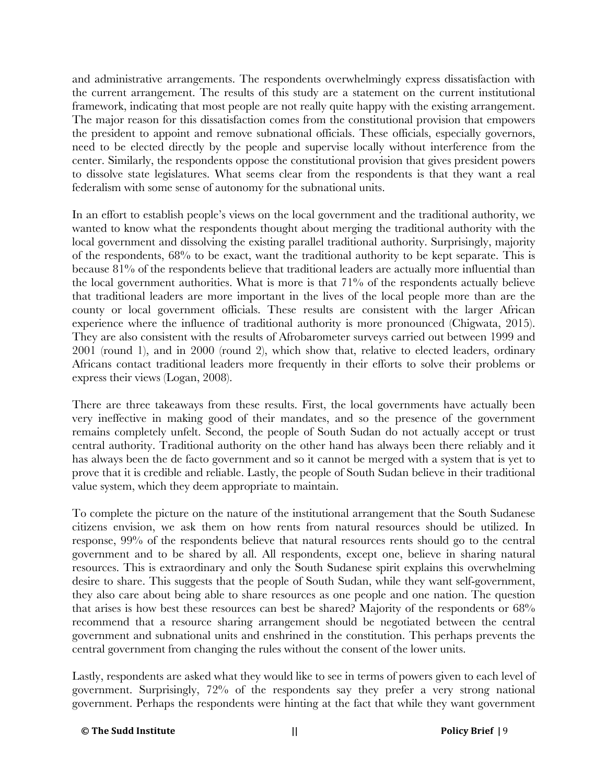and administrative arrangements. The respondents overwhelmingly express dissatisfaction with the current arrangement. The results of this study are a statement on the current institutional framework, indicating that most people are not really quite happy with the existing arrangement. The major reason for this dissatisfaction comes from the constitutional provision that empowers the president to appoint and remove subnational officials. These officials, especially governors, need to be elected directly by the people and supervise locally without interference from the center. Similarly, the respondents oppose the constitutional provision that gives president powers to dissolve state legislatures. What seems clear from the respondents is that they want a real federalism with some sense of autonomy for the subnational units.

In an effort to establish people's views on the local government and the traditional authority, we wanted to know what the respondents thought about merging the traditional authority with the local government and dissolving the existing parallel traditional authority. Surprisingly, majority of the respondents, 68% to be exact, want the traditional authority to be kept separate. This is because 81% of the respondents believe that traditional leaders are actually more influential than the local government authorities. What is more is that 71% of the respondents actually believe that traditional leaders are more important in the lives of the local people more than are the county or local government officials. These results are consistent with the larger African experience where the influence of traditional authority is more pronounced (Chigwata, 2015). They are also consistent with the results of Afrobarometer surveys carried out between 1999 and 2001 (round 1), and in 2000 (round 2), which show that, relative to elected leaders, ordinary Africans contact traditional leaders more frequently in their efforts to solve their problems or express their views (Logan, 2008).

There are three takeaways from these results. First, the local governments have actually been very ineffective in making good of their mandates, and so the presence of the government remains completely unfelt. Second, the people of South Sudan do not actually accept or trust central authority. Traditional authority on the other hand has always been there reliably and it has always been the de facto government and so it cannot be merged with a system that is yet to prove that it is credible and reliable. Lastly, the people of South Sudan believe in their traditional value system, which they deem appropriate to maintain.

To complete the picture on the nature of the institutional arrangement that the South Sudanese citizens envision, we ask them on how rents from natural resources should be utilized. In response, 99% of the respondents believe that natural resources rents should go to the central government and to be shared by all. All respondents, except one, believe in sharing natural resources. This is extraordinary and only the South Sudanese spirit explains this overwhelming desire to share. This suggests that the people of South Sudan, while they want self-government, they also care about being able to share resources as one people and one nation. The question that arises is how best these resources can best be shared? Majority of the respondents or 68% recommend that a resource sharing arrangement should be negotiated between the central government and subnational units and enshrined in the constitution. This perhaps prevents the central government from changing the rules without the consent of the lower units.

Lastly, respondents are asked what they would like to see in terms of powers given to each level of government. Surprisingly, 72% of the respondents say they prefer a very strong national government. Perhaps the respondents were hinting at the fact that while they want government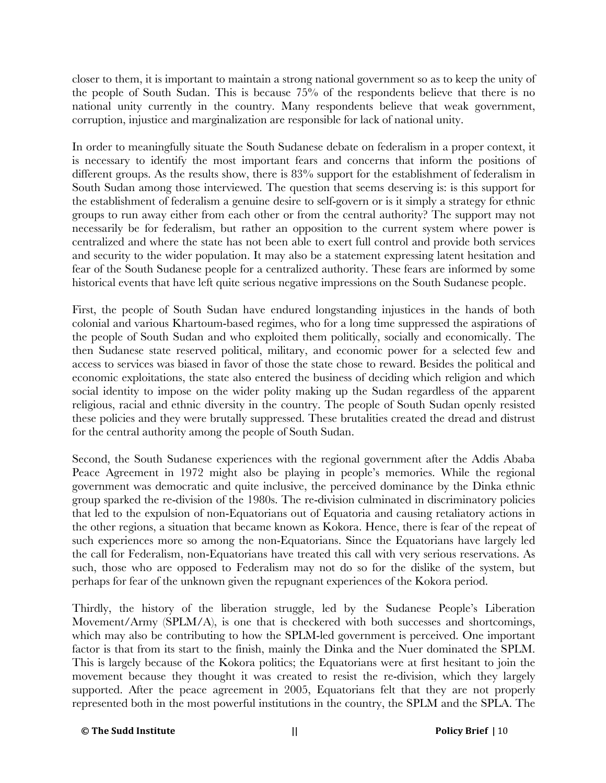closer to them, it is important to maintain a strong national government so as to keep the unity of the people of South Sudan. This is because 75% of the respondents believe that there is no national unity currently in the country. Many respondents believe that weak government, corruption, injustice and marginalization are responsible for lack of national unity.

In order to meaningfully situate the South Sudanese debate on federalism in a proper context, it is necessary to identify the most important fears and concerns that inform the positions of different groups. As the results show, there is 83% support for the establishment of federalism in South Sudan among those interviewed. The question that seems deserving is: is this support for the establishment of federalism a genuine desire to self-govern or is it simply a strategy for ethnic groups to run away either from each other or from the central authority? The support may not necessarily be for federalism, but rather an opposition to the current system where power is centralized and where the state has not been able to exert full control and provide both services and security to the wider population. It may also be a statement expressing latent hesitation and fear of the South Sudanese people for a centralized authority. These fears are informed by some historical events that have left quite serious negative impressions on the South Sudanese people.

First, the people of South Sudan have endured longstanding injustices in the hands of both colonial and various Khartoum-based regimes, who for a long time suppressed the aspirations of the people of South Sudan and who exploited them politically, socially and economically. The then Sudanese state reserved political, military, and economic power for a selected few and access to services was biased in favor of those the state chose to reward. Besides the political and economic exploitations, the state also entered the business of deciding which religion and which social identity to impose on the wider polity making up the Sudan regardless of the apparent religious, racial and ethnic diversity in the country. The people of South Sudan openly resisted these policies and they were brutally suppressed. These brutalities created the dread and distrust for the central authority among the people of South Sudan.

Second, the South Sudanese experiences with the regional government after the Addis Ababa Peace Agreement in 1972 might also be playing in people's memories. While the regional government was democratic and quite inclusive, the perceived dominance by the Dinka ethnic group sparked the re-division of the 1980s. The re-division culminated in discriminatory policies that led to the expulsion of non-Equatorians out of Equatoria and causing retaliatory actions in the other regions, a situation that became known as Kokora. Hence, there is fear of the repeat of such experiences more so among the non-Equatorians. Since the Equatorians have largely led the call for Federalism, non-Equatorians have treated this call with very serious reservations. As such, those who are opposed to Federalism may not do so for the dislike of the system, but perhaps for fear of the unknown given the repugnant experiences of the Kokora period.

Thirdly, the history of the liberation struggle, led by the Sudanese People's Liberation Movement/Army (SPLM/A), is one that is checkered with both successes and shortcomings, which may also be contributing to how the SPLM-led government is perceived. One important factor is that from its start to the finish, mainly the Dinka and the Nuer dominated the SPLM. This is largely because of the Kokora politics; the Equatorians were at first hesitant to join the movement because they thought it was created to resist the re-division, which they largely supported. After the peace agreement in 2005, Equatorians felt that they are not properly represented both in the most powerful institutions in the country, the SPLM and the SPLA. The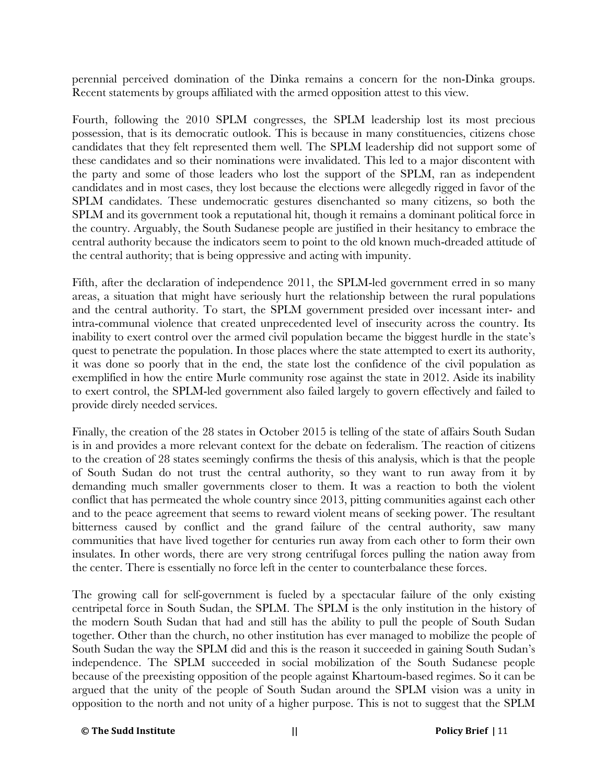perennial perceived domination of the Dinka remains a concern for the non-Dinka groups. Recent statements by groups affiliated with the armed opposition attest to this view.

Fourth, following the 2010 SPLM congresses, the SPLM leadership lost its most precious possession, that is its democratic outlook. This is because in many constituencies, citizens chose candidates that they felt represented them well. The SPLM leadership did not support some of these candidates and so their nominations were invalidated. This led to a major discontent with the party and some of those leaders who lost the support of the SPLM, ran as independent candidates and in most cases, they lost because the elections were allegedly rigged in favor of the SPLM candidates. These undemocratic gestures disenchanted so many citizens, so both the SPLM and its government took a reputational hit, though it remains a dominant political force in the country. Arguably, the South Sudanese people are justified in their hesitancy to embrace the central authority because the indicators seem to point to the old known much-dreaded attitude of the central authority; that is being oppressive and acting with impunity.

Fifth, after the declaration of independence 2011, the SPLM-led government erred in so many areas, a situation that might have seriously hurt the relationship between the rural populations and the central authority. To start, the SPLM government presided over incessant inter- and intra-communal violence that created unprecedented level of insecurity across the country. Its inability to exert control over the armed civil population became the biggest hurdle in the state's quest to penetrate the population. In those places where the state attempted to exert its authority, it was done so poorly that in the end, the state lost the confidence of the civil population as exemplified in how the entire Murle community rose against the state in 2012. Aside its inability to exert control, the SPLM-led government also failed largely to govern effectively and failed to provide direly needed services.

Finally, the creation of the 28 states in October 2015 is telling of the state of affairs South Sudan is in and provides a more relevant context for the debate on federalism. The reaction of citizens to the creation of 28 states seemingly confirms the thesis of this analysis, which is that the people of South Sudan do not trust the central authority, so they want to run away from it by demanding much smaller governments closer to them. It was a reaction to both the violent conflict that has permeated the whole country since 2013, pitting communities against each other and to the peace agreement that seems to reward violent means of seeking power. The resultant bitterness caused by conflict and the grand failure of the central authority, saw many communities that have lived together for centuries run away from each other to form their own insulates. In other words, there are very strong centrifugal forces pulling the nation away from the center. There is essentially no force left in the center to counterbalance these forces.

The growing call for self-government is fueled by a spectacular failure of the only existing centripetal force in South Sudan, the SPLM. The SPLM is the only institution in the history of the modern South Sudan that had and still has the ability to pull the people of South Sudan together. Other than the church, no other institution has ever managed to mobilize the people of South Sudan the way the SPLM did and this is the reason it succeeded in gaining South Sudan's independence. The SPLM succeeded in social mobilization of the South Sudanese people because of the preexisting opposition of the people against Khartoum-based regimes. So it can be argued that the unity of the people of South Sudan around the SPLM vision was a unity in opposition to the north and not unity of a higher purpose. This is not to suggest that the SPLM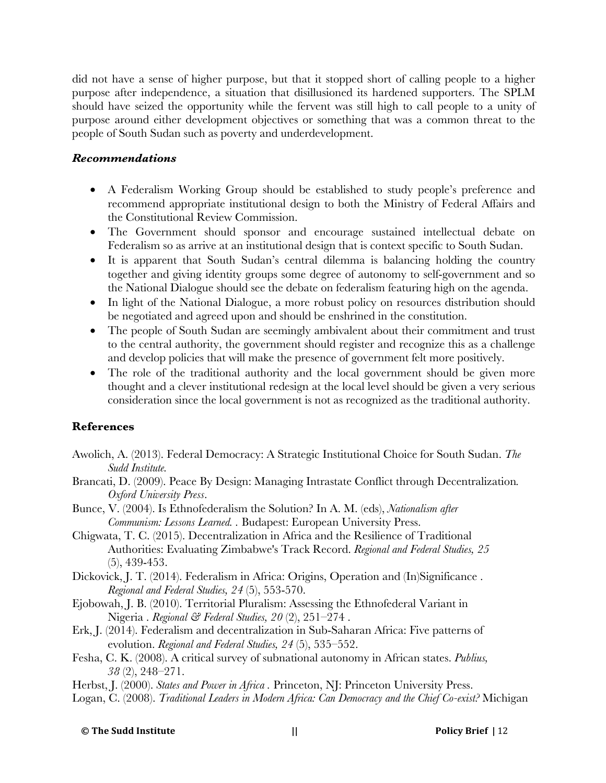did not have a sense of higher purpose, but that it stopped short of calling people to a higher purpose after independence, a situation that disillusioned its hardened supporters. The SPLM should have seized the opportunity while the fervent was still high to call people to a unity of purpose around either development objectives or something that was a common threat to the people of South Sudan such as poverty and underdevelopment.

#### *Recommendations*

- A Federalism Working Group should be established to study people's preference and recommend appropriate institutional design to both the Ministry of Federal Affairs and the Constitutional Review Commission.
- The Government should sponsor and encourage sustained intellectual debate on Federalism so as arrive at an institutional design that is context specific to South Sudan.
- It is apparent that South Sudan's central dilemma is balancing holding the country together and giving identity groups some degree of autonomy to self-government and so the National Dialogue should see the debate on federalism featuring high on the agenda.
- In light of the National Dialogue, a more robust policy on resources distribution should be negotiated and agreed upon and should be enshrined in the constitution.
- The people of South Sudan are seemingly ambivalent about their commitment and trust to the central authority, the government should register and recognize this as a challenge and develop policies that will make the presence of government felt more positively.
- The role of the traditional authority and the local government should be given more thought and a clever institutional redesign at the local level should be given a very serious consideration since the local government is not as recognized as the traditional authority.

#### **References**

- Awolich, A. (2013). Federal Democracy: A Strategic Institutional Choice for South Sudan. *The Sudd Institute.*
- Brancati, D. (2009). Peace By Design: Managing Intrastate Conflict through Decentralization*. Oxford University Press*.
- Bunce, V. (2004). Is Ethnofederalism the Solution? In A. M. (eds), *Nationalism after Communism: Lessons Learned. .* Budapest: European University Press.
- Chigwata, T. C. (2015). Decentralization in Africa and the Resilience of Traditional Authorities: Evaluating Zimbabwe's Track Record. *Regional and Federal Studies, 25* (5), 439-453.
- Dickovick, J. T. (2014). Federalism in Africa: Origins, Operation and (In)Significance . *Regional and Federal Studies, 24* (5), 553-570.
- Ejobowah, J. B. (2010). Territorial Pluralism: Assessing the Ethnofederal Variant in Nigeria . *Regional & Federal Studies, 20* (2), 251–274 .
- Erk, J. (2014). Federalism and decentralization in Sub-Saharan Africa: Five patterns of evolution. *Regional and Federal Studies, 24* (5), 535–552.
- Fesha, C. K. (2008). A critical survey of subnational autonomy in African states. *Publius, 38* (2), 248–271.

Herbst, J. (2000). *States and Power in Africa* . Princeton, NJ: Princeton University Press.

Logan, C. (2008). *Traditional Leaders in Modern Africa: Can Democracy and the Chief Co-exist?* Michigan

**©** The Sudd Institute  $\qquad \qquad ||$  **Policy Brief** | 12